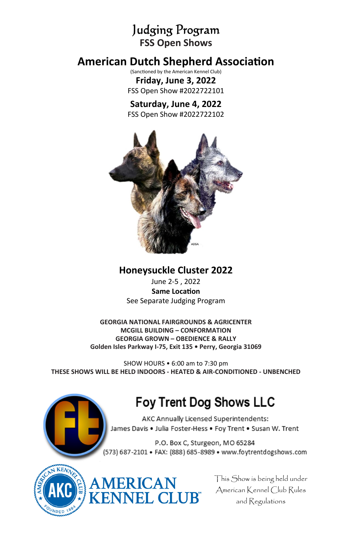Judging Program **FSS Open Shows** 

# **American Dutch Shepherd Association**

(Sanctioned by the American Kennel Club) **Friday, June 3, 2022**  FSS Open Show #2022722101

# **Saturday, June 4, 2022**

FSS Open Show #2022722102



**Honeysuckle Cluster 2022** 

June 2-5 , 2022 **Same LocaƟon**  See Separate Judging Program

**GEORGIA NATIONAL FAIRGROUNDS & AGRICENTER MCGILL BUILDING – CONFORMATION GEORGIA GROWN – OBEDIENCE & RALLY Golden Isles Parkway I-75, Exit 135 • Perry, Georgia 31069** 

SHOW HOURS • 6:00 am to 7:30 pm **THESE SHOWS WILL BE HELD INDOORS - HEATED & AIR-CONDITIONED - UNBENCHED**

# Foy Trent Dog Shows LLC

AKC Annually Licensed Superintendents: James Davis . Julia Foster-Hess . Foy Trent . Susan W. Trent

P.O. Box C, Sturgeon, MO 65284 (573) 687-2101 · FAX: (888) 685-8989 · www.foytrentdogshows.com





This Show is being held under American Kennel Club Rules and Regulations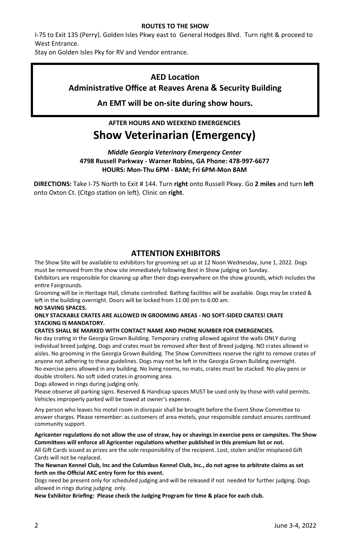#### **ROUTES TO THE SHOW**

I-75 to Exit 135 (Perry). Golden Isles Pkwy east to General Hodges Blvd. Turn right & proceed to West Entrance.

Stay on Golden Isles Pky for RV and Vendor entrance.

#### **AED LocaƟon**

### **AdministraƟve Office at Reaves Arena & Security Building**

**An EMT will be on-site during show hours.** 

# **AFTER HOURS AND WEEKEND EMERGENCIES Show Veterinarian (Emergency)**

*Middle Georgia Veterinary Emergency Center*  **4798 Russell Parkway - Warner Robins, GA Phone: 478-997-6677 HOURS: Mon-Thu 6PM - 8AM; Fri 6PM-Mon 8AM** 

**DIRECTIONS:** Take I-75 North to Exit # 144. Turn right onto Russell Pkwy. Go 2 miles and turn left onto Oxton Ct. (Citgo station on left). Clinic on right.

### **ATTENTION EXHIBITORS**

The Show Site will be available to exhibitors for grooming set up at 12 Noon Wednesday, June 1, 2022. Dogs must be removed from the show site immediately following Best in Show judging on Sunday. Exhibitors are responsible for cleaning up after their dogs everywhere on the show grounds, which includes the entire Fairgrounds.

Grooming will be in Heritage Hall, climate controlled. Bathing facilities will be available. Dogs may be crated & left in the building overnight. Doors will be locked from 11:00 pm to 6:00 am.

#### **NO SAVING SPACES.**

#### **ONLY STACKABLE CRATES ARE ALLOWED IN GROOMING AREAS - NO SOFT-SIDED CRATES! CRATE STACKING IS MANDATORY.**

#### **CRATES SHALL BE MARKED WITH CONTACT NAME AND PHONE NUMBER FOR EMERGENCIES.**

No day crating in the Georgia Grown Building. Temporary crating allowed against the walls ONLY during individual breed judging. Dogs and crates must be removed after Best of Breed judging. NO crates allowed in aisles. No grooming in the Georgia Grown Building. The Show Committees reserve the right to remove crates of anyone not adhering to these guidelines. Dogs may not be left in the Georgia Grown Building overnight. No exercise pens allowed in any building. No living rooms, no mats, crates must be stacked. No play pens or double strollers. No soft sided crates in grooming area.

Dogs allowed in rings during judging only.

Please observe all parking signs. Reserved & Handicap spaces MUST be used only by those with valid permits. Vehicles improperly parked will be towed at owner's expense.

Any person who leaves his motel room in disrepair shall be brought before the Event Show Committee to answer charges. Please remember: as customers of area motels, your responsible conduct ensures continued community support.

**Agricenter regulaƟons do not allow the use of straw, hay or shavings in exercise pens or campsites. The Show CommiƩees will enforce all Agricenter regulaƟons whether published in this premium list or not.** 

All Gift Cards issued as prizes are the sole responsibility of the recipient. Lost, stolen and/or misplaced Gift Cards will not be replaced.

**The Newnan Kennel Club, Inc and the Columbus Kennel Club, Inc., do not agree to arbitrate claims as set forth on the Official AKC entry form for this event.** 

Dogs need be present only for scheduled judging and will be released if not needed for further judging. Dogs allowed in rings during judging only.

New Exhibitor Briefing: Please check the Judging Program for time & place for each club.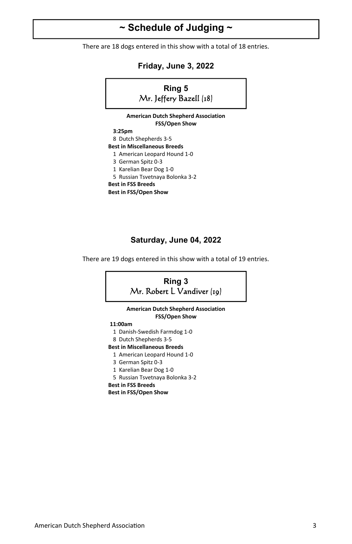# **~ Schedule of Judging ~**

There are 18 dogs entered in this show with a total of 18 entries.

**Friday, June 3, 2022** 



### **Saturday, June 04, 2022**

There are 19 dogs entered in this show with a total of 19 entries.